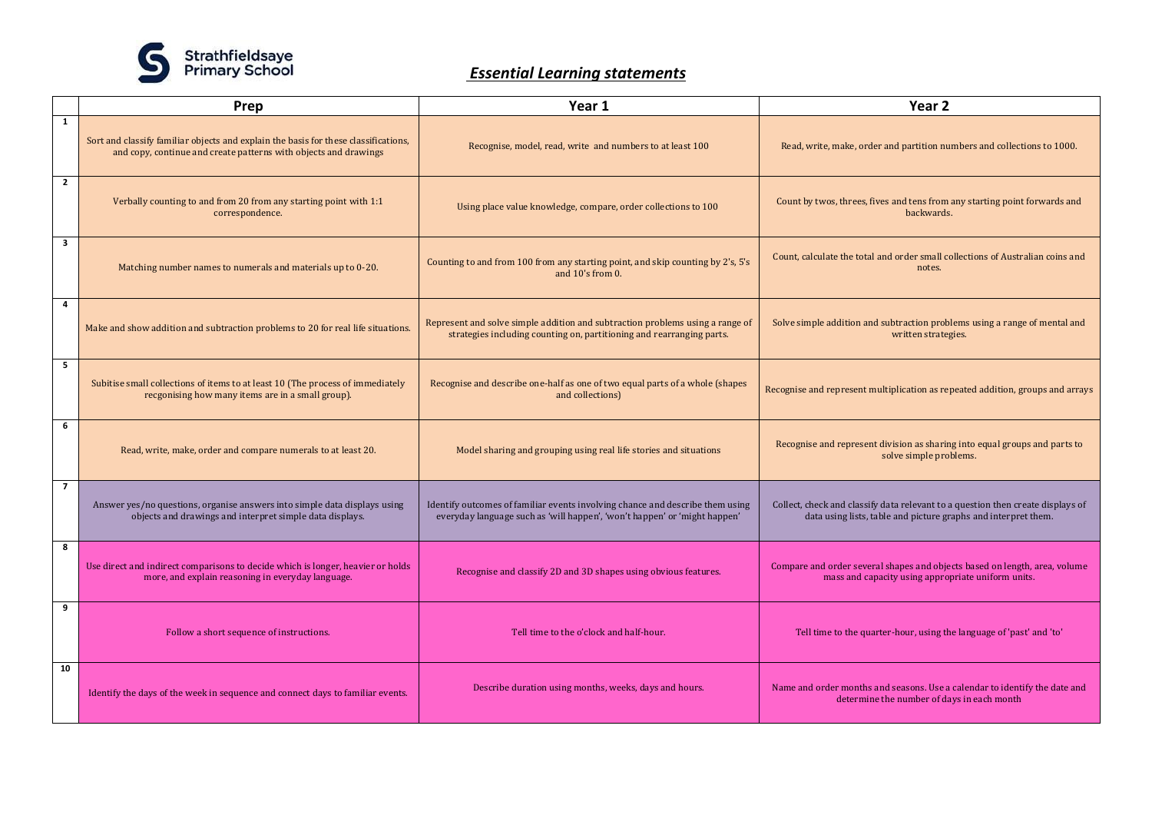

## *Essential Learning statements*

| Prep           |                                                                                                                                                         | Year 1                                                                                                                                                     | Year 2                                                                                                                                            |  |
|----------------|---------------------------------------------------------------------------------------------------------------------------------------------------------|------------------------------------------------------------------------------------------------------------------------------------------------------------|---------------------------------------------------------------------------------------------------------------------------------------------------|--|
| $\mathbf{1}$   |                                                                                                                                                         |                                                                                                                                                            |                                                                                                                                                   |  |
|                | Sort and classify familiar objects and explain the basis for these classifications,<br>and copy, continue and create patterns with objects and drawings | Recognise, model, read, write and numbers to at least 100                                                                                                  | Read, write, make, order and partition numbers and collections to 1000.                                                                           |  |
| $\overline{2}$ | Verbally counting to and from 20 from any starting point with 1:1<br>correspondence.                                                                    | Using place value knowledge, compare, order collections to 100                                                                                             | Count by twos, threes, fives and tens from any starting point forwards and<br>backwards.                                                          |  |
| 3              | Matching number names to numerals and materials up to 0-20.                                                                                             | Counting to and from 100 from any starting point, and skip counting by 2's, 5's<br>and $10's$ from 0.                                                      | Count, calculate the total and order small collections of Australian coins and<br>notes.                                                          |  |
| 4              | Make and show addition and subtraction problems to 20 for real life situations.                                                                         | Represent and solve simple addition and subtraction problems using a range of<br>strategies including counting on, partitioning and rearranging parts.     | Solve simple addition and subtraction problems using a range of mental and<br>written strategies.                                                 |  |
| 5              | Subitise small collections of items to at least 10 (The process of immediately<br>recgonising how many items are in a small group).                     | Recognise and describe one-half as one of two equal parts of a whole (shapes<br>and collections)                                                           | Recognise and represent multiplication as repeated addition, groups and arrays                                                                    |  |
| 6              | Read, write, make, order and compare numerals to at least 20.                                                                                           | Model sharing and grouping using real life stories and situations                                                                                          | Recognise and represent division as sharing into equal groups and parts to<br>solve simple problems.                                              |  |
| $\overline{7}$ | Answer yes/no questions, organise answers into simple data displays using<br>objects and drawings and interpret simple data displays.                   | Identify outcomes of familiar events involving chance and describe them using<br>everyday language such as 'will happen', 'won't happen' or 'might happen' | Collect, check and classify data relevant to a question then create displays of<br>data using lists, table and picture graphs and interpret them. |  |
| 8              | Use direct and indirect comparisons to decide which is longer, heavier or holds<br>more, and explain reasoning in everyday language.                    | Recognise and classify 2D and 3D shapes using obvious features.                                                                                            | Compare and order several shapes and objects based on length, area, volume<br>mass and capacity using appropriate uniform units.                  |  |
| 9              | Follow a short sequence of instructions.                                                                                                                | Tell time to the o'clock and half-hour.                                                                                                                    | Tell time to the quarter-hour, using the language of 'past' and 'to'                                                                              |  |
| 10             | Identify the days of the week in sequence and connect days to familiar events.                                                                          | Describe duration using months, weeks, days and hours.                                                                                                     | Name and order months and seasons. Use a calendar to identify the date and<br>determine the number of days in each month                          |  |